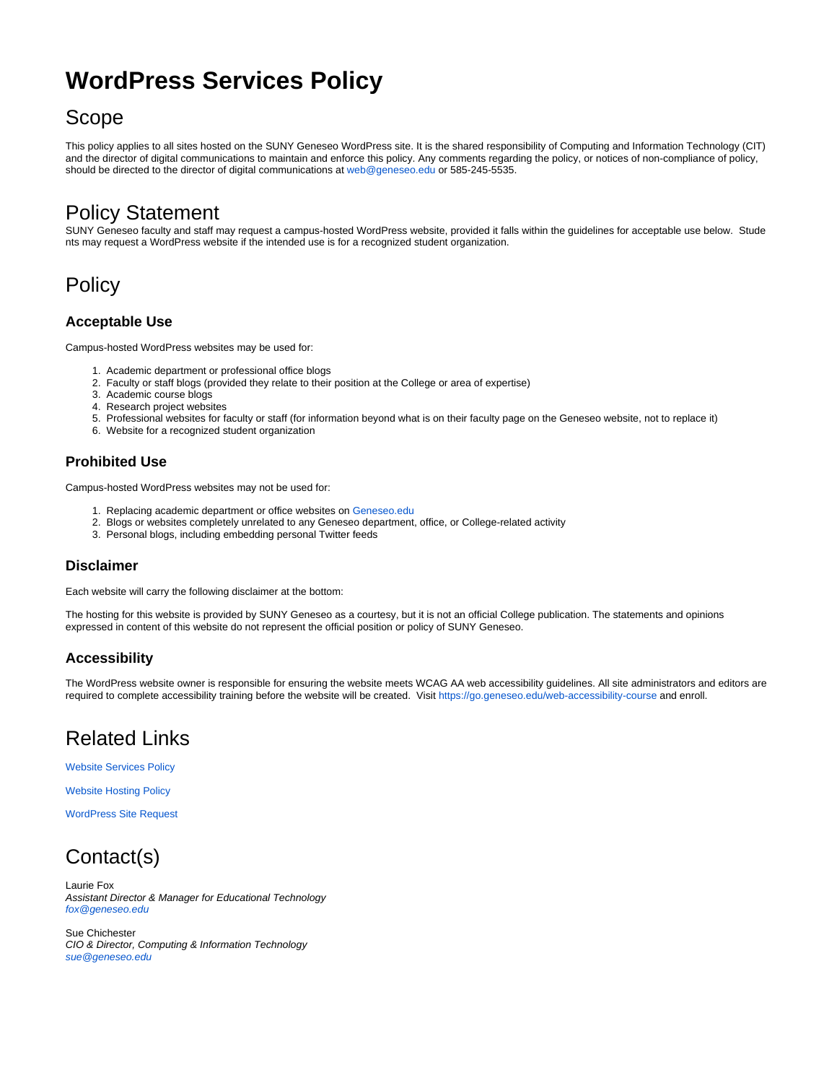# **WordPress Services Policy**

### Scope

This policy applies to all sites hosted on the SUNY Geneseo WordPress site. It is the shared responsibility of Computing and Information Technology (CIT) and the director of digital communications to maintain and enforce this policy. Any comments regarding the policy, or notices of non-compliance of policy, should be directed to the director of digital communications at [web@geneseo.edu](mailto:web@geneseo.edu) or 585-245-5535.

## Policy Statement

SUNY Geneseo faculty and staff may request a campus-hosted WordPress website, provided it falls within the guidelines for acceptable use below. Stude nts may request a WordPress website if the intended use is for a recognized student organization.

## **Policy**

#### **Acceptable Use**

Campus-hosted WordPress websites may be used for:

- 1. Academic department or professional office blogs
- 2. Faculty or staff blogs (provided they relate to their position at the College or area of expertise)
- 3. Academic course blogs
- 4. Research project websites
- 5. Professional websites for faculty or staff (for information beyond what is on their faculty page on the Geneseo website, not to replace it)
- 6. Website for a recognized student organization

#### **Prohibited Use**

Campus-hosted WordPress websites may not be used for:

- 1. Replacing academic department or office websites on [Geneseo.edu](http://Geneseo.edu)
- 2. Blogs or websites completely unrelated to any Geneseo department, office, or College-related activity
- 3. Personal blogs, including embedding personal Twitter feeds

#### **Disclaimer**

Each website will carry the following disclaimer at the bottom:

The hosting for this website is provided by SUNY Geneseo as a courtesy, but it is not an official College publication. The statements and opinions expressed in content of this website do not represent the official position or policy of SUNY Geneseo.

#### **Accessibility**

The WordPress website owner is responsible for ensuring the website meets WCAG AA web accessibility guidelines. All site administrators and editors are required to complete accessibility training before the website will be created. Visit [https://go.geneseo.edu/web-accessibility-course a](https://go.geneseo.edu/web-accessibility-course)nd enroll.

# Related Links

[Website Services Policy](https://wiki.geneseo.edu/display/cit/Website+Services+Policy)

[Website Hosting Policy](https://wiki.geneseo.edu/display/cit/Website+Hosting+Policy)

[WordPress Site Request](https://jira.geneseo.edu/servicedesk/customer/portal/2/create/186)

# Contact(s)

Laurie Fox Assistant Director & Manager for Educational Technology [fox@geneseo.edu](mailto:fox@geneseo.edu)

Sue Chichester CIO & Director, Computing & Information Technology [sue@geneseo.edu](mailto:sue@geneseo.edu)